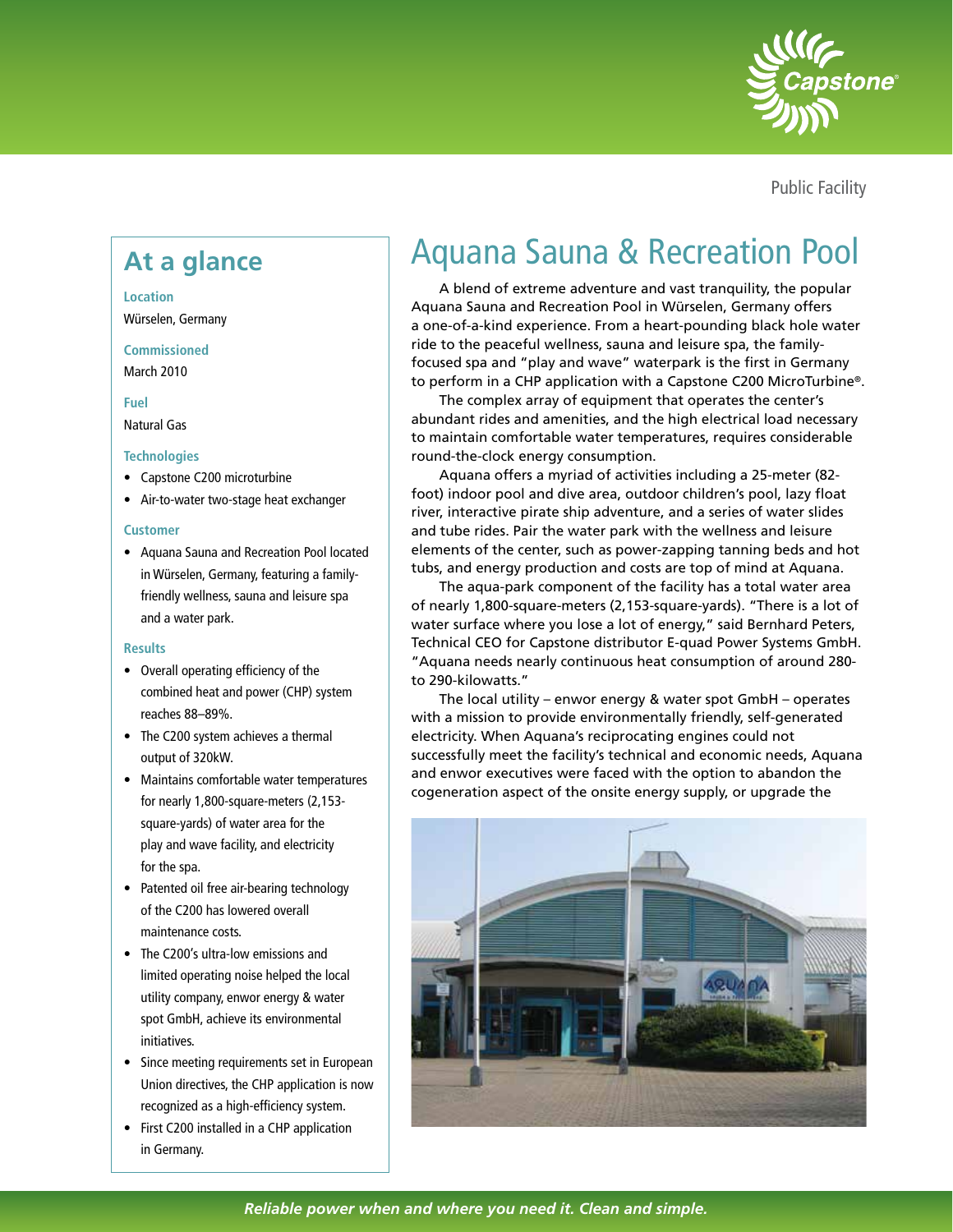

Public Facility

#### **Location**

Würselen, Germany

# **Commissioned**

March 2010

## **Fuel**

Natural Gas

# **Technologies**

- Capstone C200 microturbine
- Air-to-water two-stage heat exchanger

### **Customer**

• Aquana Sauna and Recreation Pool located in Würselen, Germany, featuring a familyfriendly wellness, sauna and leisure spa and a water park.

#### **Results**

- Overall operating efficiency of the combined heat and power (CHP) system reaches 88–89%.
- The C200 system achieves a thermal output of 320kW.
- Maintains comfortable water temperatures for nearly 1,800-square-meters (2,153 square-yards) of water area for the play and wave facility, and electricity for the spa.
- Patented oil free air-bearing technology of the C200 has lowered overall maintenance costs.
- The C200's ultra-low emissions and limited operating noise helped the local utility company, enwor energy & water spot GmbH, achieve its environmental initiatives.
- Since meeting requirements set in European Union directives, the CHP application is now recognized as a high-efficiency system.
- First C200 installed in a CHP application in Germany.

# At a glance **Aquana Sauna & Recreation Pool**

A blend of extreme adventure and vast tranquility, the popular Aquana Sauna and Recreation Pool in Würselen, Germany offers a one-of-a-kind experience. From a heart-pounding black hole water ride to the peaceful wellness, sauna and leisure spa, the familyfocused spa and "play and wave" waterpark is the first in Germany to perform in a CHP application with a Capstone C200 MicroTurbine®.

The complex array of equipment that operates the center's abundant rides and amenities, and the high electrical load necessary to maintain comfortable water temperatures, requires considerable round-the-clock energy consumption.

Aquana offers a myriad of activities including a 25-meter (82 foot) indoor pool and dive area, outdoor children's pool, lazy float river, interactive pirate ship adventure, and a series of water slides and tube rides. Pair the water park with the wellness and leisure elements of the center, such as power-zapping tanning beds and hot tubs, and energy production and costs are top of mind at Aquana.

The aqua-park component of the facility has a total water area of nearly 1,800-square-meters (2,153-square-yards). "There is a lot of water surface where you lose a lot of energy," said Bernhard Peters, Technical CEO for Capstone distributor E-quad Power Systems GmbH. "Aquana needs nearly continuous heat consumption of around 280 to 290-kilowatts."

The local utility – enwor energy & water spot GmbH – operates with a mission to provide environmentally friendly, self-generated electricity. When Aquana's reciprocating engines could not successfully meet the facility's technical and economic needs, Aquana and enwor executives were faced with the option to abandon the cogeneration aspect of the onsite energy supply, or upgrade the